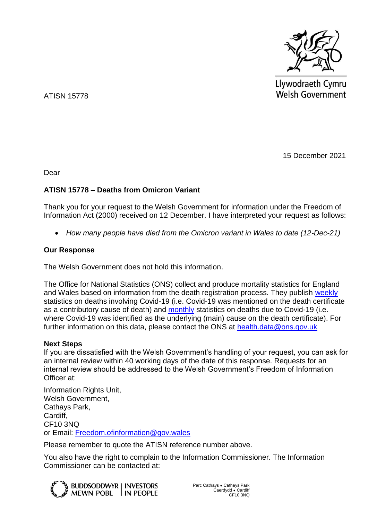

Llywodraeth Cymru **Welsh Government** 

ATISN 15778

15 December 2021

Dear

## **ATISN 15778 – Deaths from Omicron Variant**

Thank you for your request to the Welsh Government for information under the Freedom of Information Act (2000) received on 12 December. I have interpreted your request as follows:

*How many people have died from the Omicron variant in Wales to date (12-Dec-21)*

## **Our Response**

The Welsh Government does not hold this information.

The Office for National Statistics (ONS) collect and produce mortality statistics for England and Wales based on information from the death registration process. They publish [weekly](https://www.ons.gov.uk/peoplepopulationandcommunity/birthsdeathsandmarriages/deaths/bulletins/deathsregisteredweeklyinenglandandwalesprovisional/previousReleases) statistics on deaths involving Covid-19 (i.e. Covid-19 was mentioned on the death certificate as a contributory cause of death) and [monthly](https://www.ons.gov.uk/peoplepopulationandcommunity/birthsdeathsandmarriages/deaths/datasets/monthlymortalityanalysisenglandandwales) statistics on deaths due to Covid-19 (i.e. where Covid-19 was identified as the underlying (main) cause on the death certificate). For further information on this data, please contact the ONS at<health.data@ons.gov.uk>

## **Next Steps**

If you are dissatisfied with the Welsh Government's handling of your request, you can ask for an internal review within 40 working days of the date of this response. Requests for an internal review should be addressed to the Welsh Government's Freedom of Information Officer at:

Information Rights Unit, Welsh Government, Cathays Park, Cardiff, CF10 3NQ or Email: [Freedom.ofinformation@gov.wales](mailto:Freedom.ofinformation@gov.wales)

Please remember to quote the ATISN reference number above.

You also have the right to complain to the Information Commissioner. The Information Commissioner can be contacted at: